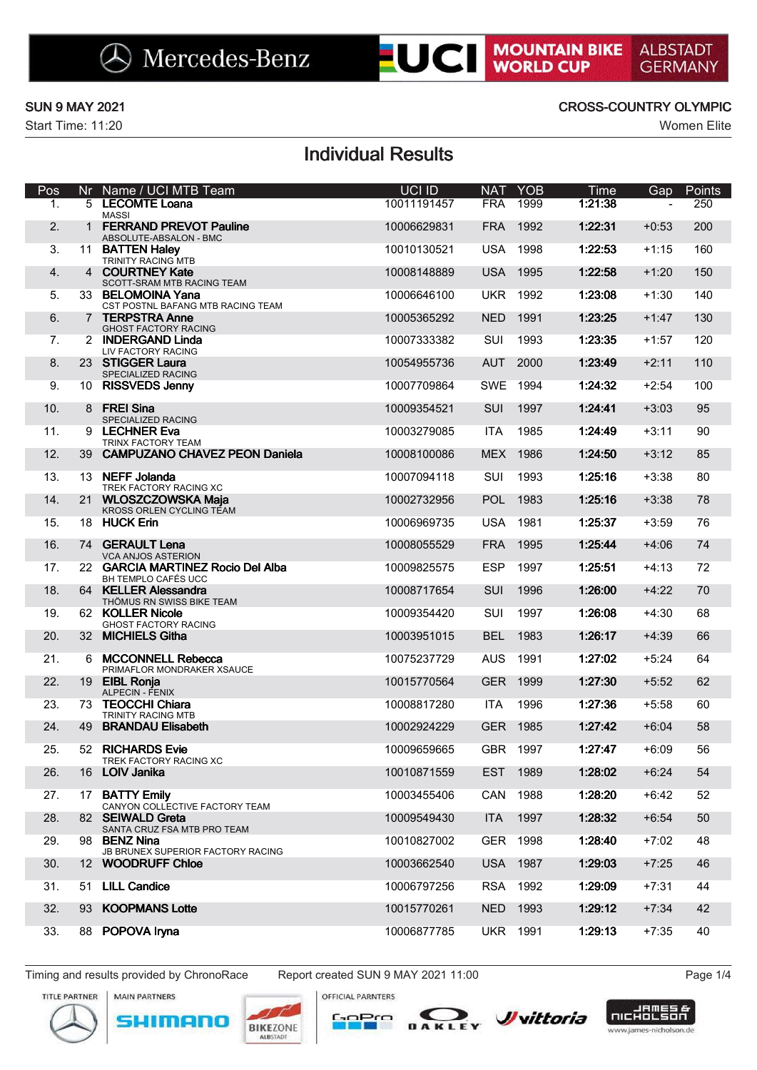

|                                                   |     | Mercedes-Benz                                            | <b>EUCI</b>               |            |                 | <b>MOUNTAIN BIKE</b><br>WORLD CUP | <b>ALBSTADT</b><br><b>GERMANY</b> |                    |
|---------------------------------------------------|-----|----------------------------------------------------------|---------------------------|------------|-----------------|-----------------------------------|-----------------------------------|--------------------|
| <b>SUN 9 MAY 2021</b><br><b>Start Time: 11:20</b> |     |                                                          |                           |            |                 | <b>CROSS-COUNTRY OLYMPIC</b>      |                                   | <b>Women Elite</b> |
|                                                   |     |                                                          | <b>Individual Results</b> |            |                 |                                   |                                   |                    |
| Pos                                               | Nr. | Name / UCI MTB Team                                      | UCI ID                    | <b>NAT</b> | <b>YOB</b>      | Time                              | Gap                               | Points             |
| $\mathbf{1}$ .                                    |     | 5 LECOMTE Loana<br>MASSI                                 | 10011191457               | <b>FRA</b> | 1999            | 1:21:38                           |                                   | 250                |
| 2.                                                |     | <b>FERRAND PREVOT Pauline</b><br>ABSOLUTE-ABSALON - BMC  | 10006629831               |            | FRA 1992        | 1:22:31                           | $+0:53$                           | 200                |
| 3.                                                |     | 11 BATTEN Haley<br>TRINITY RACING MTB                    | 10010130521               |            | <b>USA 1998</b> | 1:22:53                           | $+1:15$                           | 160                |
| 4.                                                |     | 4 COURTNEY Kate<br>SCOTT-SRAM MTB RACING TEAM            | 10008148889               |            | <b>USA 1995</b> | 1:22:58                           | $+1:20$                           | 150                |
| 5.                                                |     | 33 BELOMOINA Yana<br>CST POSTNL BAFANG MTB RACING TEAM   | 10006646100               | UKR        | 1992            | 1:23:08                           | $+1:30$                           | 140                |
| 6.                                                |     | 7 TERPSTRA Anne<br><b>GHOST FACTORY RACING</b>           | 10005365292               | NED        | 1991            | 1:23:25                           | $+1:47$                           | 130                |
| 7.                                                |     | 2 INDERGAND Linda<br>LIV FACTORY RACING                  | 10007333382               | SUI        | 1993            | 1:23:35                           | $+1:57$                           | 120                |
| 8.                                                |     | 23 STIGGER Laura<br>SPECIALIZED RACING                   | 10054955736               |            | AUT 2000        | 1:23:49                           | $+2:11$                           | 110                |
| 9.                                                |     | 10 RISSVEDS Jenny                                        | 10007709864               |            | SWE 1994        | 1:24:32                           | $+2:54$                           | 100                |
| 10.                                               |     | 8 FREI Sina<br>SPECIALIZED RACING                        | 10009354521               | <b>SUI</b> | 1997            | 1:24:41                           | $+3:03$                           | 95                 |
| 11.                                               |     | 9 LECHNER Eva<br>TRINX FACTORY TEAM                      | 10003279085               | ITA        | 1985            | 1:24:49                           | $+3:11$                           | 90                 |
| 12.                                               |     | 39 CAMPUZANO CHAVEZ PEON Daniela                         | 10008100086               |            | MEX 1986        | 1:24:50                           | $+3:12$                           | 85                 |
| 13.                                               |     | 13 NEFF Jolanda<br>TREK FACTORY RACING XC                | 10007094118               | SUI        | 1993            | 1:25:16                           | $+3:38$                           | 80                 |
| 14.                                               |     | 21 WLOSZCZOWSKA Maja<br>KROSS ORLEN CYCLING TEAM         | 10002732956               |            | POL 1983        | 1:25:16                           | $+3:38$                           | 78                 |
| 15.                                               |     | 18 HUCK Erin                                             | 10006969735               | USA        | 1981            | 1:25:37                           | $+3:59$                           | 76                 |
| 16.                                               |     | 74 GERAULT Lena<br><b>VCA ANJOS ASTERION</b>             | 10008055529               | FRA        | 1995            | 1:25:44                           | $+4:06$                           | 74                 |
| 17.                                               |     | 22 GARCIA MARTINEZ Rocio Del Alba<br>BH TEMPLO CAFÉS UCC | 10009825575               | <b>ESP</b> | 1997            | 1:25:51                           | $+4:13$                           | 72                 |
| 18.                                               |     | 64 KELLER Alessandra<br>THÖMUS RN SWISS BIKE TEAM        | 10008717654               | <b>SUI</b> | 1996            | 1:26:00                           | $+4:22$                           | 70                 |
| 19.                                               |     | 62 KOLLER Nicole<br><b>GHOST FACTORY RACING</b>          | 10009354420               | SUI        | 1997            | 1:26:08                           | $+4:30$                           | 68                 |
| 20.                                               |     | 32 MICHIELS Githa                                        | 10003951015               | <b>BEL</b> | 1983            | 1:26:17                           | $+4:39$                           | 66                 |
| 21.                                               |     | 6 MCCONNELL Rebecca<br>PRIMAFLOR MONDRAKER XSAUCE        | 10075237729               | <b>AUS</b> | 1991            | 1:27:02                           | $+5:24$                           | 64                 |
| 22.                                               |     | 19 EIBL Ronja<br>ALPECIN - FENIX                         | 10015770564               |            | GER 1999        | 1:27:30                           | $+5:52$                           | 62                 |
| 23.                                               |     | 73 TEOCCHI Chiara<br>TRINITY RACING MTB                  | 10008817280               | ITA        | 1996            | 1:27:36                           | $+5:58$                           | 60                 |
| 24.                                               | 49  | <b>BRANDAU Elisabeth</b>                                 | 10002924229               |            | GER 1985        | 1:27:42                           | $+6:04$                           | 58                 |
| 25.                                               |     | 52 RICHARDS Evie<br>TREK FACTORY RACING XC               | 10009659665               | <b>GBR</b> | 1997            | 1:27:47                           | $+6:09$                           | 56                 |
| 26.                                               |     | 16 LOIV Janika                                           | 10010871559               | <b>EST</b> | 1989            | 1:28:02                           | $+6:24$                           | 54                 |
| 27.                                               |     | 17 BATTY Emily<br>CANYON COLLECTIVE FACTORY TEAM         | 10003455406               | CAN        | 1988            | 1:28:20                           | $+6:42$                           | 52                 |
| 28.                                               |     | 82 SEIWALD Greta<br>SANTA CRUZ FSA MTB PRO TEAM          | 10009549430               | <b>ITA</b> | 1997            | 1:28:32                           | $+6:54$                           | 50                 |
| 29.                                               |     | 98 BENZ Nina<br>JB BRUNEX SUPERIOR FACTORY RACING        | 10010827002               | GER        | 1998            | 1:28:40                           | $+7:02$                           | 48                 |
| 30.                                               |     | 12 WOODRUFF Chloe                                        | 10003662540               | <b>USA</b> | 1987            | 1:29:03                           | $+7:25$                           | 46                 |
| 31.                                               |     | 51 LILL Candice                                          | 10006797256               | <b>RSA</b> | 1992            | 1:29:09                           | $+7:31$                           | 44                 |
| 32.                                               |     | 93 KOOPMANS Lotte                                        | 10015770261               | NED        | 1993            | 1:29:12                           | $+7:34$                           | 42                 |
| 33.                                               |     | 88 POPOVA Iryna                                          | 10006877785               |            | <b>UKR 1991</b> | 1:29:13                           | $+7:35$                           | 40                 |









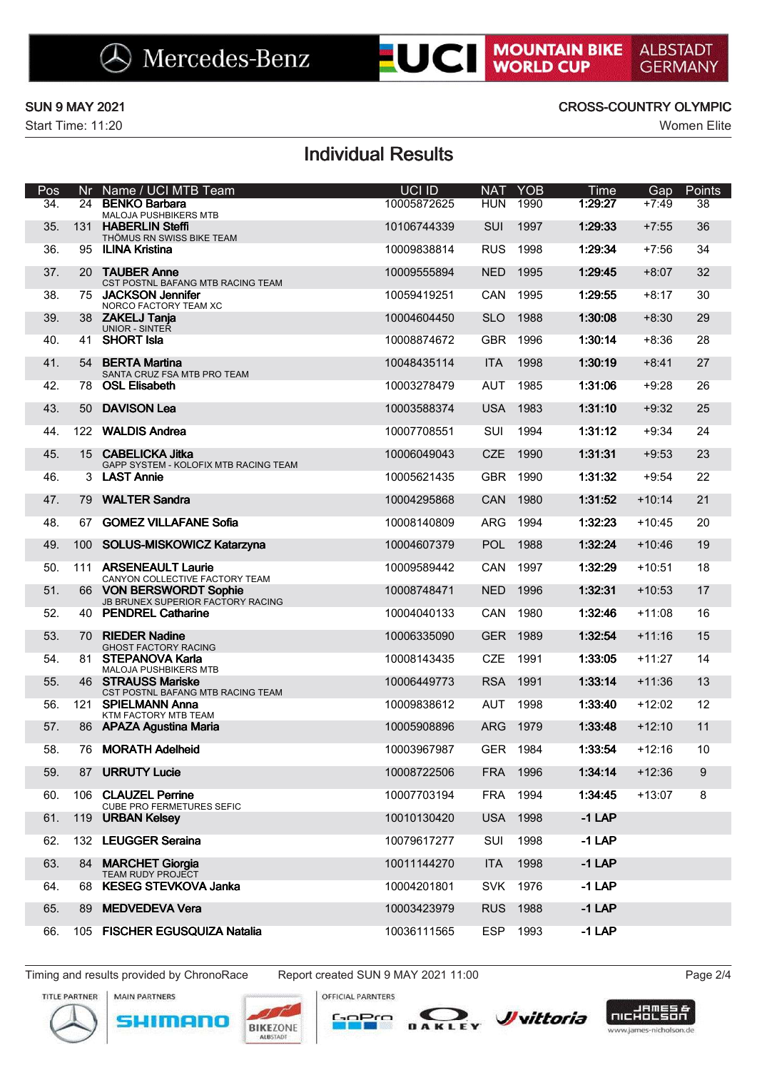

# SUN 9 MAY 2021<br>
Start Time: 11:20<br>
Dec NE Neme (UCLMTR Team

|            |                                            | Mercedes-Benz                                                | <b>EUCI</b>                |                          |                    | <b>MOUNTAIN BIKE</b><br>WORLD CUP | <b>ALBSTADT</b><br><b>GERMANY</b> |              |
|------------|--------------------------------------------|--------------------------------------------------------------|----------------------------|--------------------------|--------------------|-----------------------------------|-----------------------------------|--------------|
|            | <b>SUN 9 MAY 2021</b><br>Start Time: 11:20 |                                                              |                            |                          |                    | <b>CROSS-COUNTRY OLYMPIC</b>      |                                   | Women Elite  |
|            |                                            |                                                              | <b>Individual Results</b>  |                          |                    |                                   |                                   |              |
| Pos<br>34. | Nr<br>24                                   | Name / UCI MTB Team<br><b>BENKO Barbara</b>                  | UCI ID<br>10005872625      | <b>NAT</b><br><b>HUN</b> | <b>YOB</b><br>1990 | Time<br>1:29:27                   | Gap<br>$+7:49$                    | Points<br>38 |
|            |                                            | MALOJA PUSHBIKERS MTB<br>131 HABERLIN Steffi                 |                            |                          |                    |                                   |                                   |              |
| 35.<br>36. | 95                                         | THÖMUS RN SWISS BIKE TEAM<br><b>ILINA Kristina</b>           | 10106744339<br>10009838814 | SUI<br><b>RUS</b>        | 1997<br>1998       | 1:29:33<br>1:29:34                | $+7:55$<br>$+7:56$                | 36<br>34     |
| 37.        |                                            | 20 TAUBER Anne                                               | 10009555894                | <b>NED</b>               | 1995               | 1:29:45                           | $+8:07$                           | 32           |
| 38.        |                                            | CST POSTNL BAFANG MTB RACING TEAM<br>75 JACKSON Jennifer     | 10059419251                | CAN                      | 1995               | 1:29:55                           | $+8:17$                           | 30           |
| 39.        |                                            | NORCO FACTORY TEAM XC<br>38 ZAKELJ Tanja                     | 10004604450                | SLO                      | 1988               | 1:30:08                           | $+8:30$                           | 29           |
| 40.        | 41                                         | <b>UNIOR - SINTER</b><br><b>SHORT Isla</b>                   | 10008874672                | <b>GBR</b>               | 1996               | 1:30:14                           | $+8:36$                           | 28           |
| 41.        |                                            | 54 BERTA Martina                                             | 10048435114                | ITA 1998                 |                    | 1:30:19                           | $+8:41$                           | 27           |
| 42.        | 78                                         | SANTA CRUZ FSA MTB PRO TEAM<br><b>OSL Elisabeth</b>          | 10003278479                | AUT                      | 1985               | 1:31:06                           | $+9:28$                           | 26           |
| 43.        |                                            | 50 DAVISON Lea                                               | 10003588374                | <b>USA</b>               | 1983               | 1:31:10                           | $+9:32$                           | 25           |
| 44.        |                                            | 122 WALDIS Andrea                                            | 10007708551                | SUI                      | 1994               | 1:31:12                           | $+9:34$                           | 24           |
| 45.        |                                            | 15 CABELICKA Jitka                                           | 10006049043                | <b>CZE</b>               | 1990               | 1:31:31                           | $+9:53$                           | 23           |
| 46.        |                                            | GAPP SYSTEM - KOLOFIX MTB RACING TEAM<br>3 LAST Annie        | 10005621435                | <b>GBR</b>               | 1990               | 1:31:32                           | $+9:54$                           | 22           |
| 47.        |                                            | 79 WALTER Sandra                                             | 10004295868                | CAN                      | 1980               | 1:31:52                           | $+10:14$                          | 21           |
| 48.        | 67                                         | <b>GOMEZ VILLAFANE Sofia</b>                                 | 10008140809                | ARG                      | 1994               | 1:32:23                           | $+10:45$                          | 20           |
|            |                                            |                                                              |                            |                          |                    |                                   |                                   |              |
| 49.        | 100                                        | SOLUS-MISKOWICZ Katarzyna                                    | 10004607379                | <b>POL</b>               | 1988               | 1:32:24                           | $+10:46$                          | 19           |
| 50.        |                                            | 111 ARSENEAULT Laurie<br>CANYON COLLECTIVE FACTORY TEAM      | 10009589442                | CAN                      | 1997               | 1:32:29                           | $+10:51$                          | 18           |
| 51.        |                                            | 66 VON BERSWORDT Sophie<br>JB BRUNEX SUPERIOR FACTORY RACING | 10008748471                | <b>NED</b>               | 1996               | 1:32:31                           | $+10:53$                          | 17           |
| 52.        |                                            | 40 PENDREL Catharine                                         | 10004040133                | CAN                      | 1980               | 1:32:46                           | $+11:08$                          | 16           |
| 53.        |                                            | 70 RIEDER Nadine<br><b>GHOST FACTORY RACING</b>              | 10006335090                | <b>GER</b>               | 1989               | 1:32:54                           | $+11:16$                          | 15           |
| 54.        |                                            | 81 STEPANOVA Karla<br><b>MALOJA PUSHBIKERS MTB</b>           | 10008143435                | <b>CZE</b>               | 1991               | 1:33:05                           | $+11:27$                          | 14           |
| 55.        |                                            | 46 STRAUSS Mariske<br>CST POSTNL BAFANG MTB RACING TEAM      | 10006449773                | <b>RSA</b>               | 1991               | 1:33:14                           | $+11:36$                          | 13           |
| 56.        |                                            | 121 SPIELMANN Anna<br>KTM FACTORY MTB TEAM                   | 10009838612                | AUT                      | 1998               | 1:33:40                           | $+12:02$                          | 12           |
| 57.        |                                            | 86 APAZA Agustina Maria                                      | 10005908896                | <b>ARG</b>               | 1979               | 1:33:48                           | $+12:10$                          | 11           |
| 58.        |                                            | 76 MORATH Adelheid                                           | 10003967987                | GER 1984                 |                    | 1:33:54                           | $+12:16$                          | 10           |
| 59.        |                                            | 87 URRUTY Lucie                                              | 10008722506                | <b>FRA</b>               | 1996               | 1:34:14                           | $+12:36$                          | 9            |
| 60.        |                                            | 106 CLAUZEL Perrine<br><b>CUBE PRO FERMETURES SEFIC</b>      | 10007703194                | FRA                      | 1994               | 1:34:45                           | $+13:07$                          | 8            |
| 61.        |                                            | 119 URBAN Kelsey                                             | 10010130420                | <b>USA</b>               | 1998               | $-1$ LAP                          |                                   |              |
| 62.        |                                            | 132 LEUGGER Seraina                                          | 10079617277                | SUI                      | 1998               | $-1$ LAP                          |                                   |              |
| 63.        |                                            | 84 MARCHET Giorgia<br><b>TEAM RUDY PROJECT</b>               | 10011144270                | <b>ITA</b>               | 1998               | $-1$ LAP                          |                                   |              |
| 64.        |                                            | 68 KESEG STEVKOVA Janka                                      | 10004201801                | SVK 1976                 |                    | $-1$ LAP                          |                                   |              |
| 65.        |                                            | 89 MEDVEDEVA Vera                                            | 10003423979                | RUS 1988                 |                    | $-1$ LAP                          |                                   |              |
| 66.        |                                            | 105 FISCHER EGUSQUIZA Natalia                                | 10036111565                | ESP                      | 1993               | $-1$ LAP                          |                                   |              |









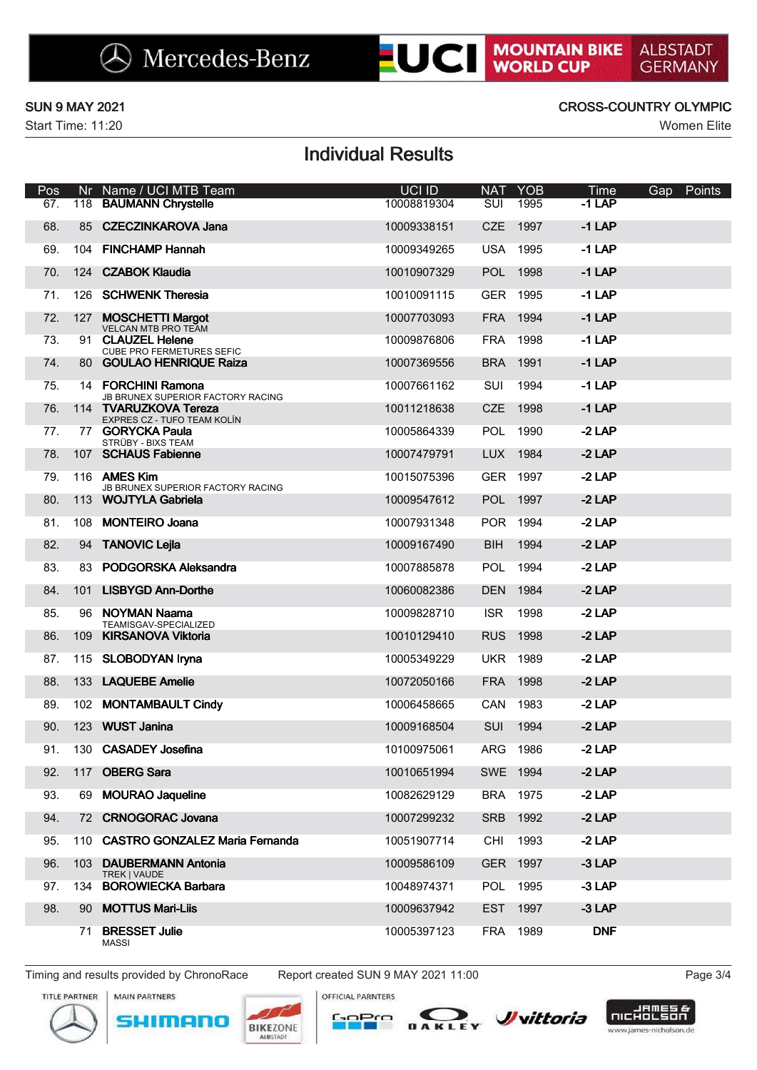| <b>SUN 9 MAY 2021</b><br>Start Time: 11:20 |                                                   |                                                                                                                                                                                                                                                                                                                                                                                                                                                                                                                                                                                                                                                                                                                                                                                                                                                                    | EUCI I                                                                                                                                                                           |                    | <b>MOUNTAIN BIKE</b><br>WORLD CUP                                                                                                                                                                                                                                                                                                                                                                                | <b>GERMANY</b>                                                                                                                   |
|--------------------------------------------|---------------------------------------------------|--------------------------------------------------------------------------------------------------------------------------------------------------------------------------------------------------------------------------------------------------------------------------------------------------------------------------------------------------------------------------------------------------------------------------------------------------------------------------------------------------------------------------------------------------------------------------------------------------------------------------------------------------------------------------------------------------------------------------------------------------------------------------------------------------------------------------------------------------------------------|----------------------------------------------------------------------------------------------------------------------------------------------------------------------------------|--------------------|------------------------------------------------------------------------------------------------------------------------------------------------------------------------------------------------------------------------------------------------------------------------------------------------------------------------------------------------------------------------------------------------------------------|----------------------------------------------------------------------------------------------------------------------------------|
|                                            |                                                   |                                                                                                                                                                                                                                                                                                                                                                                                                                                                                                                                                                                                                                                                                                                                                                                                                                                                    |                                                                                                                                                                                  |                    |                                                                                                                                                                                                                                                                                                                                                                                                                  | <b>CROSS-COUNTRY OLYMPIC</b><br><b>Women Elite</b>                                                                               |
|                                            |                                                   | <b>Individual Results</b>                                                                                                                                                                                                                                                                                                                                                                                                                                                                                                                                                                                                                                                                                                                                                                                                                                          |                                                                                                                                                                                  |                    |                                                                                                                                                                                                                                                                                                                                                                                                                  |                                                                                                                                  |
| Nr                                         | Name / UCI MTB Team                               | <b>UCI ID</b><br>10008819304                                                                                                                                                                                                                                                                                                                                                                                                                                                                                                                                                                                                                                                                                                                                                                                                                                       | NA <sub>1</sub>                                                                                                                                                                  | <b>YOB</b><br>1995 | Time<br>$-1$ LAP                                                                                                                                                                                                                                                                                                                                                                                                 | Points<br>Gap                                                                                                                    |
| 118                                        | <b>BAUMANN Chrystelle</b>                         |                                                                                                                                                                                                                                                                                                                                                                                                                                                                                                                                                                                                                                                                                                                                                                                                                                                                    | SUI                                                                                                                                                                              |                    |                                                                                                                                                                                                                                                                                                                                                                                                                  |                                                                                                                                  |
|                                            |                                                   |                                                                                                                                                                                                                                                                                                                                                                                                                                                                                                                                                                                                                                                                                                                                                                                                                                                                    |                                                                                                                                                                                  |                    |                                                                                                                                                                                                                                                                                                                                                                                                                  |                                                                                                                                  |
|                                            |                                                   |                                                                                                                                                                                                                                                                                                                                                                                                                                                                                                                                                                                                                                                                                                                                                                                                                                                                    |                                                                                                                                                                                  |                    |                                                                                                                                                                                                                                                                                                                                                                                                                  |                                                                                                                                  |
| 126                                        | <b>SCHWENK Theresia</b>                           | 10010091115                                                                                                                                                                                                                                                                                                                                                                                                                                                                                                                                                                                                                                                                                                                                                                                                                                                        |                                                                                                                                                                                  |                    | $-1$ LAP                                                                                                                                                                                                                                                                                                                                                                                                         |                                                                                                                                  |
| 127                                        | <b>MOSCHETTI Margot</b>                           | 10007703093                                                                                                                                                                                                                                                                                                                                                                                                                                                                                                                                                                                                                                                                                                                                                                                                                                                        |                                                                                                                                                                                  |                    | $-1$ LAP                                                                                                                                                                                                                                                                                                                                                                                                         |                                                                                                                                  |
|                                            | <b>CLAUZEL Helene</b>                             | 10009876806                                                                                                                                                                                                                                                                                                                                                                                                                                                                                                                                                                                                                                                                                                                                                                                                                                                        |                                                                                                                                                                                  |                    | $-1$ LAP                                                                                                                                                                                                                                                                                                                                                                                                         |                                                                                                                                  |
|                                            | <b>GOULAO HENRIQUE Raiza</b>                      | 10007369556                                                                                                                                                                                                                                                                                                                                                                                                                                                                                                                                                                                                                                                                                                                                                                                                                                                        |                                                                                                                                                                                  |                    | $-1$ LAP                                                                                                                                                                                                                                                                                                                                                                                                         |                                                                                                                                  |
|                                            |                                                   | 10007661162                                                                                                                                                                                                                                                                                                                                                                                                                                                                                                                                                                                                                                                                                                                                                                                                                                                        |                                                                                                                                                                                  |                    | $-1$ LAP                                                                                                                                                                                                                                                                                                                                                                                                         |                                                                                                                                  |
|                                            |                                                   | 10011218638                                                                                                                                                                                                                                                                                                                                                                                                                                                                                                                                                                                                                                                                                                                                                                                                                                                        |                                                                                                                                                                                  |                    | $-1$ LAP                                                                                                                                                                                                                                                                                                                                                                                                         |                                                                                                                                  |
|                                            |                                                   | 10005864339                                                                                                                                                                                                                                                                                                                                                                                                                                                                                                                                                                                                                                                                                                                                                                                                                                                        |                                                                                                                                                                                  |                    | $-2$ LAP                                                                                                                                                                                                                                                                                                                                                                                                         |                                                                                                                                  |
|                                            |                                                   | 10007479791                                                                                                                                                                                                                                                                                                                                                                                                                                                                                                                                                                                                                                                                                                                                                                                                                                                        |                                                                                                                                                                                  |                    | $-2$ LAP                                                                                                                                                                                                                                                                                                                                                                                                         |                                                                                                                                  |
|                                            |                                                   | 10015075396                                                                                                                                                                                                                                                                                                                                                                                                                                                                                                                                                                                                                                                                                                                                                                                                                                                        |                                                                                                                                                                                  |                    | $-2$ LAP                                                                                                                                                                                                                                                                                                                                                                                                         |                                                                                                                                  |
|                                            |                                                   | 10009547612                                                                                                                                                                                                                                                                                                                                                                                                                                                                                                                                                                                                                                                                                                                                                                                                                                                        |                                                                                                                                                                                  |                    | $-2$ LAP                                                                                                                                                                                                                                                                                                                                                                                                         |                                                                                                                                  |
|                                            |                                                   | 10007931348                                                                                                                                                                                                                                                                                                                                                                                                                                                                                                                                                                                                                                                                                                                                                                                                                                                        |                                                                                                                                                                                  |                    | $-2$ LAP                                                                                                                                                                                                                                                                                                                                                                                                         |                                                                                                                                  |
|                                            |                                                   | 10009167490                                                                                                                                                                                                                                                                                                                                                                                                                                                                                                                                                                                                                                                                                                                                                                                                                                                        |                                                                                                                                                                                  |                    | $-2$ LAP                                                                                                                                                                                                                                                                                                                                                                                                         |                                                                                                                                  |
|                                            |                                                   | 10007885878                                                                                                                                                                                                                                                                                                                                                                                                                                                                                                                                                                                                                                                                                                                                                                                                                                                        |                                                                                                                                                                                  |                    | $-2$ LAP                                                                                                                                                                                                                                                                                                                                                                                                         |                                                                                                                                  |
|                                            |                                                   |                                                                                                                                                                                                                                                                                                                                                                                                                                                                                                                                                                                                                                                                                                                                                                                                                                                                    |                                                                                                                                                                                  |                    |                                                                                                                                                                                                                                                                                                                                                                                                                  |                                                                                                                                  |
|                                            | TEAMISGAV-SPECIALIZED                             |                                                                                                                                                                                                                                                                                                                                                                                                                                                                                                                                                                                                                                                                                                                                                                                                                                                                    |                                                                                                                                                                                  |                    |                                                                                                                                                                                                                                                                                                                                                                                                                  |                                                                                                                                  |
|                                            |                                                   |                                                                                                                                                                                                                                                                                                                                                                                                                                                                                                                                                                                                                                                                                                                                                                                                                                                                    |                                                                                                                                                                                  |                    |                                                                                                                                                                                                                                                                                                                                                                                                                  |                                                                                                                                  |
|                                            |                                                   |                                                                                                                                                                                                                                                                                                                                                                                                                                                                                                                                                                                                                                                                                                                                                                                                                                                                    |                                                                                                                                                                                  |                    |                                                                                                                                                                                                                                                                                                                                                                                                                  |                                                                                                                                  |
|                                            |                                                   |                                                                                                                                                                                                                                                                                                                                                                                                                                                                                                                                                                                                                                                                                                                                                                                                                                                                    |                                                                                                                                                                                  |                    |                                                                                                                                                                                                                                                                                                                                                                                                                  |                                                                                                                                  |
|                                            |                                                   |                                                                                                                                                                                                                                                                                                                                                                                                                                                                                                                                                                                                                                                                                                                                                                                                                                                                    |                                                                                                                                                                                  |                    |                                                                                                                                                                                                                                                                                                                                                                                                                  |                                                                                                                                  |
|                                            |                                                   |                                                                                                                                                                                                                                                                                                                                                                                                                                                                                                                                                                                                                                                                                                                                                                                                                                                                    |                                                                                                                                                                                  |                    |                                                                                                                                                                                                                                                                                                                                                                                                                  |                                                                                                                                  |
|                                            |                                                   |                                                                                                                                                                                                                                                                                                                                                                                                                                                                                                                                                                                                                                                                                                                                                                                                                                                                    |                                                                                                                                                                                  |                    | $-2$ LAP                                                                                                                                                                                                                                                                                                                                                                                                         |                                                                                                                                  |
|                                            |                                                   | 10082629129                                                                                                                                                                                                                                                                                                                                                                                                                                                                                                                                                                                                                                                                                                                                                                                                                                                        |                                                                                                                                                                                  |                    | $-2$ LAP                                                                                                                                                                                                                                                                                                                                                                                                         |                                                                                                                                  |
|                                            |                                                   | 10007299232                                                                                                                                                                                                                                                                                                                                                                                                                                                                                                                                                                                                                                                                                                                                                                                                                                                        |                                                                                                                                                                                  |                    | $-2$ LAP                                                                                                                                                                                                                                                                                                                                                                                                         |                                                                                                                                  |
|                                            |                                                   | 10051907714                                                                                                                                                                                                                                                                                                                                                                                                                                                                                                                                                                                                                                                                                                                                                                                                                                                        |                                                                                                                                                                                  |                    | $-2$ LAP                                                                                                                                                                                                                                                                                                                                                                                                         |                                                                                                                                  |
| 103                                        | <b>DAUBERMANN Antonia</b>                         | 10009586109                                                                                                                                                                                                                                                                                                                                                                                                                                                                                                                                                                                                                                                                                                                                                                                                                                                        |                                                                                                                                                                                  |                    | $-3$ LAP                                                                                                                                                                                                                                                                                                                                                                                                         |                                                                                                                                  |
|                                            | TREK   VAUDE                                      | 10048974371                                                                                                                                                                                                                                                                                                                                                                                                                                                                                                                                                                                                                                                                                                                                                                                                                                                        |                                                                                                                                                                                  |                    | $-3$ LAP                                                                                                                                                                                                                                                                                                                                                                                                         |                                                                                                                                  |
|                                            | <b>MOTTUS Mari-Liis</b>                           | 10009637942                                                                                                                                                                                                                                                                                                                                                                                                                                                                                                                                                                                                                                                                                                                                                                                                                                                        |                                                                                                                                                                                  |                    | $-3$ LAP                                                                                                                                                                                                                                                                                                                                                                                                         |                                                                                                                                  |
|                                            |                                                   | 10005397123                                                                                                                                                                                                                                                                                                                                                                                                                                                                                                                                                                                                                                                                                                                                                                                                                                                        |                                                                                                                                                                                  |                    | <b>DNF</b>                                                                                                                                                                                                                                                                                                                                                                                                       |                                                                                                                                  |
|                                            | 85<br>104<br>124<br>91<br>130<br>117<br>134<br>90 | <b>CZECZINKAROVA Jana</b><br><b>FINCHAMP Hannah</b><br><b>CZABOK Klaudia</b><br><b>VELCAN MTB PRO TEAM</b><br>CUBE PRO FERMETURES SEFIC<br>80<br>14 FORCHINI Ramona<br>JB BRUNEX SUPERIOR FACTORY RACING<br>114 TVARUZKOVA Tereza<br>EXPRES CZ - TUFO TEAM KOLÍN<br>77 GORYCKA Paula<br>STRÜBY - BIXS TEAM<br>107 SCHAUS Fabienne<br>116 AMES Kim<br>JB BRUNEX SUPERIOR FACTORY RACING<br>113 WOJTYLA Gabriela<br>108 MONTEIRO Joana<br>94 TANOVIC Lejla<br>83 PODGORSKA Aleksandra<br>101 LISBYGD Ann-Dorthe<br>96 NOYMAN Naama<br>109 KIRSANOVA Viktoria<br>115 SLOBODYAN Iryna<br>133 LAQUEBE Amelie<br>102 MONTAMBAULT Cindy<br><b>WUST Janina</b><br>123<br><b>CASADEY Josefina</b><br><b>OBERG Sara</b><br>69 MOURAO Jaqueline<br>72 CRNOGORAC Jovana<br>110 CASTRO GONZALEZ Maria Fernanda<br><b>BOROWIECKA Barbara</b><br>71 BRESSET Julie<br><b>MASSI</b> | 10009338151<br>10009349265<br>10010907329<br>10060082386<br>10009828710<br>10010129410<br>10005349229<br>10072050166<br>10006458665<br>10009168504<br>10100975061<br>10010651994 | <b>CZE</b>         | 1997<br><b>USA 1995</b><br><b>POL</b><br>1998<br>GER 1995<br>FRA 1994<br>FRA 1998<br>BRA 1991<br>SUI 1994<br>CZE 1998<br>POL 1990<br>LUX 1984<br>GER 1997<br>POL 1997<br>POR 1994<br>BIH 1994<br>POL 1994<br>DEN 1984<br>ISR 1998<br>RUS 1998<br><b>UKR 1989</b><br>FRA 1998<br>CAN 1983<br>SUI 1994<br>ARG 1986<br>SWE 1994<br>BRA 1975<br>SRB 1992<br>CHI 1993<br>GER 1997<br>POL 1995<br>EST 1997<br>FRA 1989 | $-1$ LAP<br>$-1$ LAP<br>$-1$ LAP<br>$-2$ LAP<br>$-2$ LAP<br>$-2$ LAP<br>$-2$ LAP<br>$-2$ LAP<br>$-2$ LAP<br>$-2$ LAP<br>$-2$ LAP |